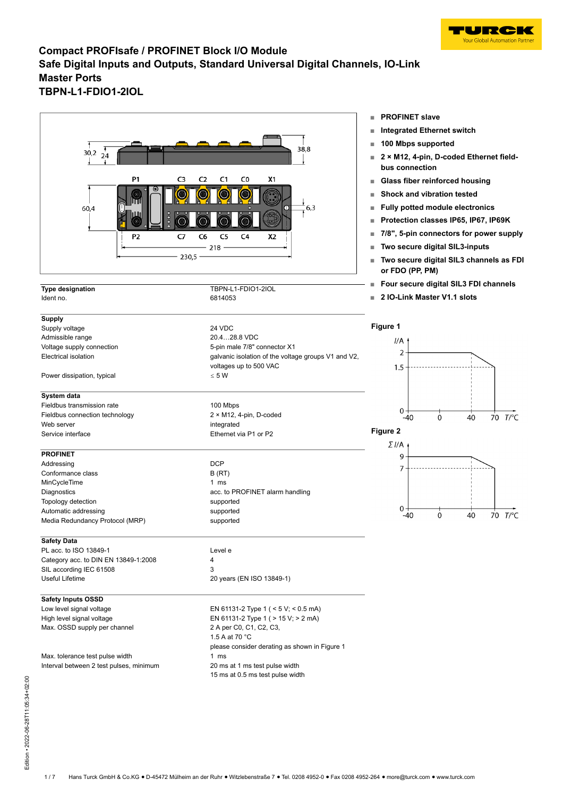



|                                      |                                                     | Four secure digital SIL3 FD         |  |  |
|--------------------------------------|-----------------------------------------------------|-------------------------------------|--|--|
| <b>Type designation</b><br>Ident no. | TBPN-L1-FDIO1-2IOL<br>6814053                       | 2 IO-Link Master V1.1 slots         |  |  |
|                                      |                                                     |                                     |  |  |
| <b>Supply</b>                        |                                                     | Figure 1                            |  |  |
| Supply voltage<br>Admissible range   | 24 VDC<br>20.428.8 VDC                              |                                     |  |  |
| Voltage supply connection            | 5-pin male 7/8" connector X1                        | I/A                                 |  |  |
| Electrical isolation                 | galvanic isolation of the voltage groups V1 and V2, | 2                                   |  |  |
|                                      | voltages up to 500 VAC                              |                                     |  |  |
| Power dissipation, typical           | $\leq 5 W$                                          | 1.5                                 |  |  |
|                                      |                                                     |                                     |  |  |
| System data                          |                                                     |                                     |  |  |
| Fieldbus transmission rate           | 100 Mbps                                            | $0 -$                               |  |  |
| Fieldbus connection technology       | $2 \times M12$ , 4-pin, D-coded                     | $\Omega$<br>40<br>$-40$             |  |  |
| Web server                           | integrated                                          | Figure 2                            |  |  |
| Service interface                    | Ethernet via P1 or P2                               |                                     |  |  |
| <b>PROFINET</b>                      |                                                     | Σ <i>Ι</i> /Α<br>9                  |  |  |
| Addressing                           | <b>DCP</b>                                          |                                     |  |  |
| Conformance class                    | B(RT)                                               | 7                                   |  |  |
| MinCycleTime                         | $1 \text{ ms}$                                      |                                     |  |  |
| Diagnostics                          | acc. to PROFINET alarm handling                     |                                     |  |  |
| Topology detection                   | supported                                           |                                     |  |  |
| Automatic addressing                 | supported                                           | $0 -$<br>$-40$<br>$\mathbf 0$<br>40 |  |  |
| Media Redundancy Protocol (MRP)      | supported                                           |                                     |  |  |
| <b>Safety Data</b>                   |                                                     |                                     |  |  |
| PL acc. to ISO 13849-1               | Level e                                             |                                     |  |  |
| Category acc. to DIN EN 13849-1:2008 | 4                                                   |                                     |  |  |
| SIL according IEC 61508              | 3                                                   |                                     |  |  |
| Useful Lifetime                      | 20 years (EN ISO 13849-1)                           |                                     |  |  |
| <b>Safety Inputs OSSD</b>            |                                                     |                                     |  |  |
| Low level signal voltage             | EN 61131-2 Type 1 ( $<$ 5 V; $<$ 0.5 mA)            |                                     |  |  |
| High level signal voltage            | EN 61131-2 Type 1 ( > 15 V; > 2 mA)                 |                                     |  |  |
| Max. OSSD supply per channel         | 2 A per C0, C1, C2, C3,                             |                                     |  |  |
|                                      | 1.5 A at 70 °C                                      |                                     |  |  |
|                                      | please consider derating as shown in Figure 1       |                                     |  |  |
| Max. tolerance test pulse width      | $1 \text{ ms}$                                      |                                     |  |  |

Interval between 2 test pulses, minimum 20 ms at 1 ms test pulse width 15 ms at 0.5 ms test pulse width

- **■ PROFINET slave**
- **■ Integrated Ethernet switch**
- **■ 100 Mbps supported**
- **2 × M12, 4-pin, D-coded Ethernet fieldbus connection**
- **■ Glass fiber reinforced housing**
- **■ Shock and vibration tested**
- **■ Fully potted module electronics**
- **■ Protection classes IP65, IP67, IP69K**
- **■ 7/8", 5-pin connectors for power supply**
- **■ Two secure digital SIL3-inputs**
- **■ Two secure digital SIL3 channels as FDI or FDO (PP, PM)**

70 T/°C

 $70 T$   $^{\circ}$ C

**DI** channels

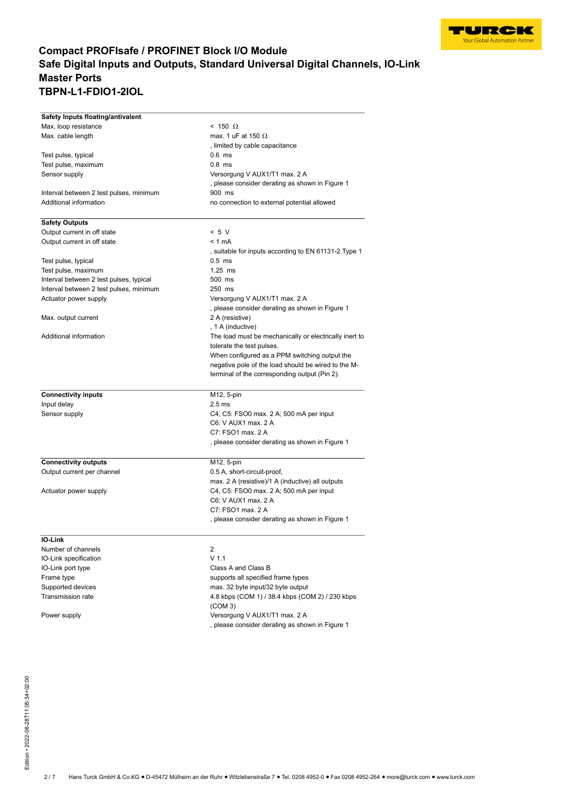

| Safety Inputs floating/antivalent       |                                                        |  |  |
|-----------------------------------------|--------------------------------------------------------|--|--|
| Max. loop resistance                    | $< 150 \Omega$                                         |  |  |
| Max. cable length                       | max. 1 uF at 150 $\Omega$                              |  |  |
|                                         | , limited by cable capacitance                         |  |  |
| Test pulse, typical                     | $0.6$ ms                                               |  |  |
| Test pulse, maximum                     | $0.8$ ms                                               |  |  |
| Sensor supply                           | Versorgung V AUX1/T1 max. 2 A                          |  |  |
|                                         | , please consider derating as shown in Figure 1        |  |  |
| Interval between 2 test pulses, minimum | 900 ms<br>no connection to external potential allowed  |  |  |
| Additional information                  |                                                        |  |  |
| <b>Safety Outputs</b>                   |                                                        |  |  |
| Output current in off state             | < 5 V                                                  |  |  |
| Output current in off state             | $< 1$ mA                                               |  |  |
|                                         | , suitable for inputs according to EN 61131-2 Type 1   |  |  |
| Test pulse, typical                     | $0.5$ ms                                               |  |  |
| Test pulse, maximum                     | $1.25$ ms                                              |  |  |
| Interval between 2 test pulses, typical | 500 ms                                                 |  |  |
| Interval between 2 test pulses, minimum | 250 ms                                                 |  |  |
| Actuator power supply                   | Versorgung V AUX1/T1 max. 2 A                          |  |  |
|                                         | , please consider derating as shown in Figure 1        |  |  |
| Max. output current                     | 2 A (resistive)                                        |  |  |
|                                         | , 1 A (inductive)                                      |  |  |
| Additional information                  | The load must be mechanically or electrically inert to |  |  |
|                                         | tolerate the test pulses.                              |  |  |
|                                         | When configured as a PPM switching output the          |  |  |
|                                         | negative pole of the load should be wired to the M-    |  |  |
|                                         | terminal of the corresponding output (Pin 2).          |  |  |
| <b>Connectivity inputs</b>              | M12, 5-pin                                             |  |  |
| Input delay                             | 2.5 <sub>ms</sub>                                      |  |  |
| Sensor supply                           | C4, C5: FSO0 max. 2 A; 500 mA per input                |  |  |
|                                         | C6: V AUX1 max. 2 A                                    |  |  |
|                                         | C7: FSO1 max, 2 A                                      |  |  |
|                                         | , please consider derating as shown in Figure 1        |  |  |
| <b>Connectivity outputs</b>             | M12, 5-pin                                             |  |  |
| Output current per channel              | 0.5 A, short-circuit-proof,                            |  |  |
|                                         | max. 2 A (resistive)/1 A (inductive) all outputs       |  |  |
| Actuator power supply                   | C4, C5: FSO0 max. 2 A; 500 mA per input                |  |  |
|                                         | C6: V AUX1 max, 2 A                                    |  |  |
|                                         | C7: FSO1 max, 2 A                                      |  |  |
|                                         | , please consider derating as shown in Figure 1        |  |  |
| <b>IO-Link</b>                          |                                                        |  |  |
| Number of channels                      | 2                                                      |  |  |
| IO-Link specification                   | V <sub>1.1</sub>                                       |  |  |
| IO-Link port type                       | Class A and Class B                                    |  |  |
| Frame type                              | supports all specified frame types                     |  |  |
| Supported devices                       | max. 32 byte input/32 byte output                      |  |  |
| <b>Transmission rate</b>                | 4.8 kbps (COM 1) / 38.4 kbps (COM 2) / 230 kbps        |  |  |
|                                         | (COM 3)                                                |  |  |
| Power supply                            | Versorgung V AUX1/T1 max. 2 A                          |  |  |
|                                         | , please consider derating as shown in Figure 1        |  |  |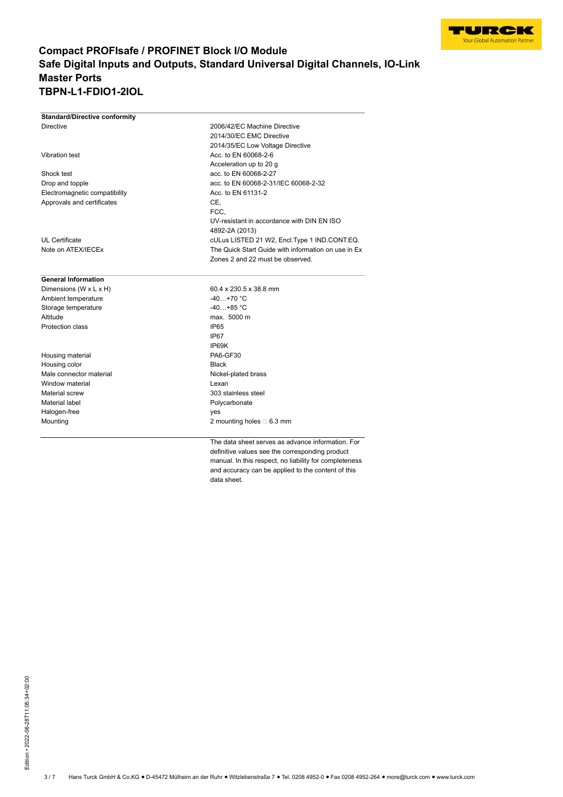

| <b>Standard/Directive conformity</b> |                                                     |
|--------------------------------------|-----------------------------------------------------|
| <b>Directive</b>                     | 2006/42/EC Machine Directive                        |
|                                      | 2014/30/EC EMC Directive                            |
|                                      | 2014/35/EC Low Voltage Directive                    |
| Vibration test                       | Acc. to EN 60068-2-6                                |
|                                      | Acceleration up to 20 g                             |
| Shock test                           | acc. to EN 60068-2-27                               |
| Drop and topple                      | acc. to EN 60068-2-31/IEC 60068-2-32                |
| Electromagnetic compatibility        | Acc. to EN 61131-2                                  |
| Approvals and certificates           | CE.                                                 |
|                                      | FCC.                                                |
|                                      | UV-resistant in accordance with DIN FN ISO          |
|                                      | 4892-2A (2013)                                      |
| UL Certificate                       | cULus LISTED 21 W2, Encl. Type 1 IND.CONT.EQ.       |
| Note on ATEX/IECEx                   | The Quick Start Guide with information on use in Ex |
|                                      | Zones 2 and 22 must be observed.                    |
|                                      |                                                     |
| <b>General Information</b>           |                                                     |
| Dimensions (W x L x H)               | 60.4 x 230.5 x 38.8 mm                              |
| Ambient temperature                  | $-40+70$ °C                                         |
| Storage temperature                  | $-40+85 °C$                                         |
| Altitude                             | max. 5000 m                                         |
| Protection class                     | <b>IP65</b>                                         |
|                                      | IP67                                                |
|                                      | IP69K                                               |
| Housing material                     | <b>PA6-GF30</b>                                     |
| Housing color                        | Black                                               |
| Male connector material              | Nickel-plated brass                                 |
| Window material                      | Lexan                                               |
| Material screw                       | 303 stainless steel                                 |
| Material label                       | Polycarbonate                                       |
| Halogen-free                         | yes                                                 |
| Mounting                             | 2 mounting holes $\Box$ 6.3 mm                      |
|                                      |                                                     |
|                                      |                                                     |

The data sheet serves as advance information. For definitive values see the corresponding product manual. In this respect, no liability for completeness and accuracy can be applied to the content of this data sheet.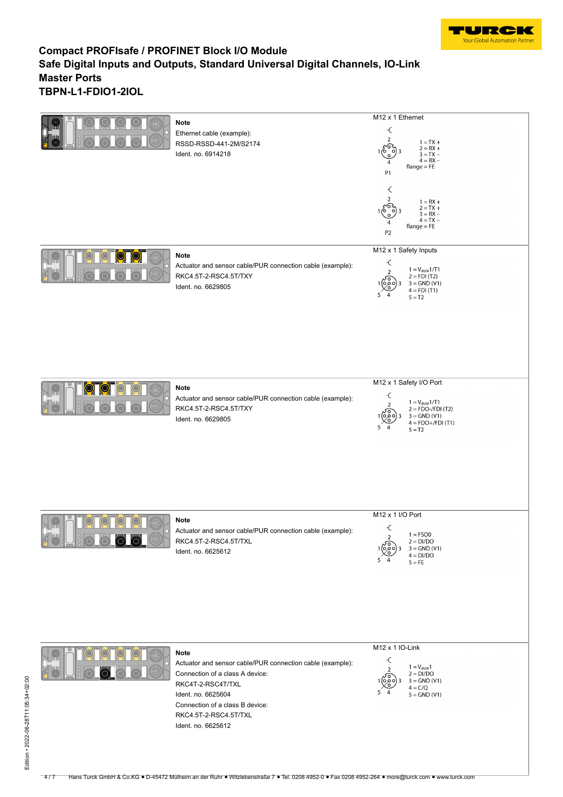

|                 | <b>Note</b><br>Ethernet cable (example):<br>RSSD-RSSD-441-2M/S2174<br>Ident. no. 6914218                                                                                                                                                 | M12 x 1 Ethernet<br>$\boldsymbol{\mathcal{L}}$<br>$\overline{2}$<br>$1 = TX +$<br>$2 = RX +$<br>70.<br>$3 = TX -$<br>$4 = RX -$<br>4<br>$flange = FE$<br>P1<br>€<br>2<br>$1 = RX +$<br>$2 = TX +$<br>$3 = RX -$<br>$4 = TX -$<br>$flange = FE$<br>P <sub>2</sub> |
|-----------------|------------------------------------------------------------------------------------------------------------------------------------------------------------------------------------------------------------------------------------------|------------------------------------------------------------------------------------------------------------------------------------------------------------------------------------------------------------------------------------------------------------------|
|                 | <b>Note</b><br>Actuator and sensor cable/PUR connection cable (example):<br>RKC4.5T-2-RSC4.5T/TXY<br>Ident. no. 6629805                                                                                                                  | M12 x 1 Safety Inputs<br>$\overline{\mathcal{L}}$<br>$1 = V_{\text{aux}} 1/T1$<br>2 = FDI (T2)<br>$\mathcal{P}$<br>$3 = GND (V1)$<br>$4 = FDI(T1)$<br>$5 = T2$                                                                                                   |
|                 | <b>Note</b><br>Actuator and sensor cable/PUR connection cable (example):<br>RKC4.5T-2-RSC4.5T/TXY<br>Ident. no. 6629805                                                                                                                  | M12 x 1 Safety I/O Port<br>$\overline{\mathcal{L}}$<br>$1 = V_{aux}1/T1$<br>2 = FDO-/FDI (T2)<br>$\overline{\phantom{a}}$<br>1(၀) ရ<br>$3 =$ GND (V1)<br>$4 = FDO+/FDI(T1)$<br>5<br>4<br>$5 = T2$                                                                |
| $\circ$ $\circ$ | <b>Note</b><br>Actuator and sensor cable/PUR connection cable (example):<br>RKC4.5T-2-RSC4.5T/TXL<br>Ident. no. 6625612                                                                                                                  | M12 x 1 I/O Port<br>$\prec$<br>$1 = FSO0$<br>2<br>$2 = DI/DO$<br>50<br>$3 =$ GND (V1)<br>o o c<br>$4 = DI/DO$<br>5.<br>$5 = FE$                                                                                                                                  |
|                 | <b>Note</b><br>Actuator and sensor cable/PUR connection cable (example):<br>Connection of a class A device:<br>RKC4T-2-RSC4T/TXL<br>Ident. no. 6625604<br>Connection of a class B device:<br>RKC4.5T-2-RSC4.5T/TXL<br>Ident. no. 6625612 | M <sub>12</sub> x 1 IO-Link<br>$\overline{\mathcal{L}}$<br>$1 = V_{aux}1$<br>$\overline{2}$<br>$2 = DI/DO$<br>၀၀၀)<br>$3 =$ GND (V1)<br>$4 = C/Q$<br>$5 = GND (V1)$                                                                                              |

-4/7 Hans Turck GmbH & Co.KG • D-45472 Mulheim an der Ruhr • Witzlebenstraße 7 • Tel. 0208 4952-0 • Fax 0208 4952-264 • more@turck.com • www.turck.com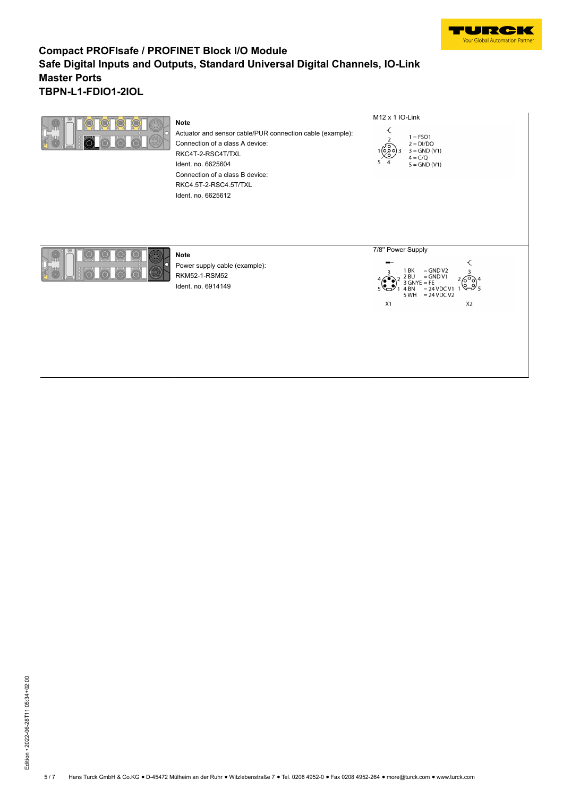

| <b>Note</b><br>Actuator and sensor cable/PUR connection cable (example):<br>Connection of a class A device:<br>RKC4T-2-RSC4T/TXL<br>Ident. no. 6625604<br>Connection of a class B device:<br>RKC4.5T-2-RSC4.5T/TXL<br>Ident. no. 6625612 | M <sub>12</sub> x 1 IO-Link<br>€<br>$1 = FSO1$<br>$2 = DI/DO$<br>$\sqrt{20}$<br>$3 = GND (V1)$<br>′ o<br>$4 = C/Q$<br>$5 =$ GND (V1)                                      |
|------------------------------------------------------------------------------------------------------------------------------------------------------------------------------------------------------------------------------------------|---------------------------------------------------------------------------------------------------------------------------------------------------------------------------|
| <b>Note</b><br>Power supply cable (example):<br>RKM52-1-RSM52<br>Ident. no. 6914149                                                                                                                                                      | 7/8" Power Supply<br>$=$ GND V2<br>1 BK<br>$=$ GND V1<br>2BU<br>6°<br>$=$ FE<br>3 GNYE<br>$Q\rightarrow$<br>$= 24$ VDC V1 1<br>$5 WH = 24 VDC V2$<br>X1<br>X <sub>2</sub> |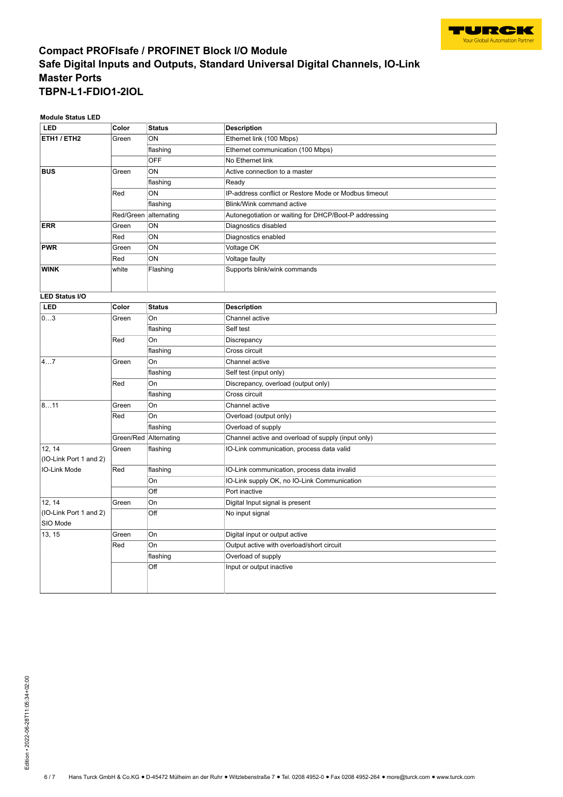

**Module Status LED**

| <b>LED</b>                       | Color                 | <b>Status</b>         | <b>Description</b>                                    |
|----------------------------------|-----------------------|-----------------------|-------------------------------------------------------|
| ETH1 / ETH2                      | Green                 | ON                    | Ethernet link (100 Mbps)                              |
|                                  |                       | flashing              | Ethernet communication (100 Mbps)                     |
|                                  |                       | <b>OFF</b>            | No Ethernet link                                      |
| <b>BUS</b>                       | Green                 | ON                    | Active connection to a master                         |
|                                  |                       | flashing              | Ready                                                 |
|                                  | Red                   | ON                    | IP-address conflict or Restore Mode or Modbus timeout |
|                                  |                       | flashing              | Blink/Wink command active                             |
|                                  | Red/Green alternating |                       | Autonegotiation or waiting for DHCP/Boot-P addressing |
| <b>ERR</b>                       | Green                 | ON                    | Diagnostics disabled                                  |
|                                  | Red                   | ON                    | Diagnostics enabled                                   |
| <b>PWR</b>                       | Green                 | ON                    | Voltage OK                                            |
|                                  | Red                   | ON                    | Voltage faulty                                        |
| <b>WINK</b>                      | white                 | Flashing              | Supports blink/wink commands                          |
|                                  |                       |                       |                                                       |
| <b>LED Status I/O</b>            |                       |                       |                                                       |
| <b>LED</b>                       | Color                 | <b>Status</b>         | <b>Description</b>                                    |
| 03                               | Green                 | On                    | Channel active                                        |
|                                  |                       | flashing              | Self test                                             |
|                                  | Red                   | On                    | Discrepancy                                           |
|                                  |                       | flashing              | Cross circuit                                         |
| 47                               | Green                 | On                    | Channel active                                        |
|                                  |                       | flashing              | Self test (input only)                                |
|                                  | Red                   | On                    | Discrepancy, overload (output only)                   |
|                                  |                       | flashing              | Cross circuit                                         |
| 811                              | Green                 | <b>On</b>             | Channel active                                        |
|                                  | Red                   | <b>On</b>             | Overload (output only)                                |
|                                  |                       | flashing              | Overload of supply                                    |
|                                  |                       | Green/Red Alternating | Channel active and overload of supply (input only)    |
| 12, 14<br>(IO-Link Port 1 and 2) | Green                 | flashing              | IO-Link communication, process data valid             |
| IO-Link Mode                     | Red                   | flashing              | IO-Link communication, process data invalid           |
|                                  |                       | On                    | IO-Link supply OK, no IO-Link Communication           |
|                                  |                       | Off                   | Port inactive                                         |
| 12, 14                           | Green                 | On                    | Digital Input signal is present                       |
| (IO-Link Port 1 and 2)           |                       | Off                   | No input signal                                       |
| SIO Mode                         |                       |                       |                                                       |
| 13, 15                           | Green                 | On                    | Digital input or output active                        |
|                                  | Red                   | On                    | Output active with overload/short circuit             |
|                                  |                       | flashing              | Overload of supply                                    |
|                                  |                       | Off                   | Input or output inactive                              |
|                                  |                       |                       |                                                       |
|                                  |                       |                       |                                                       |